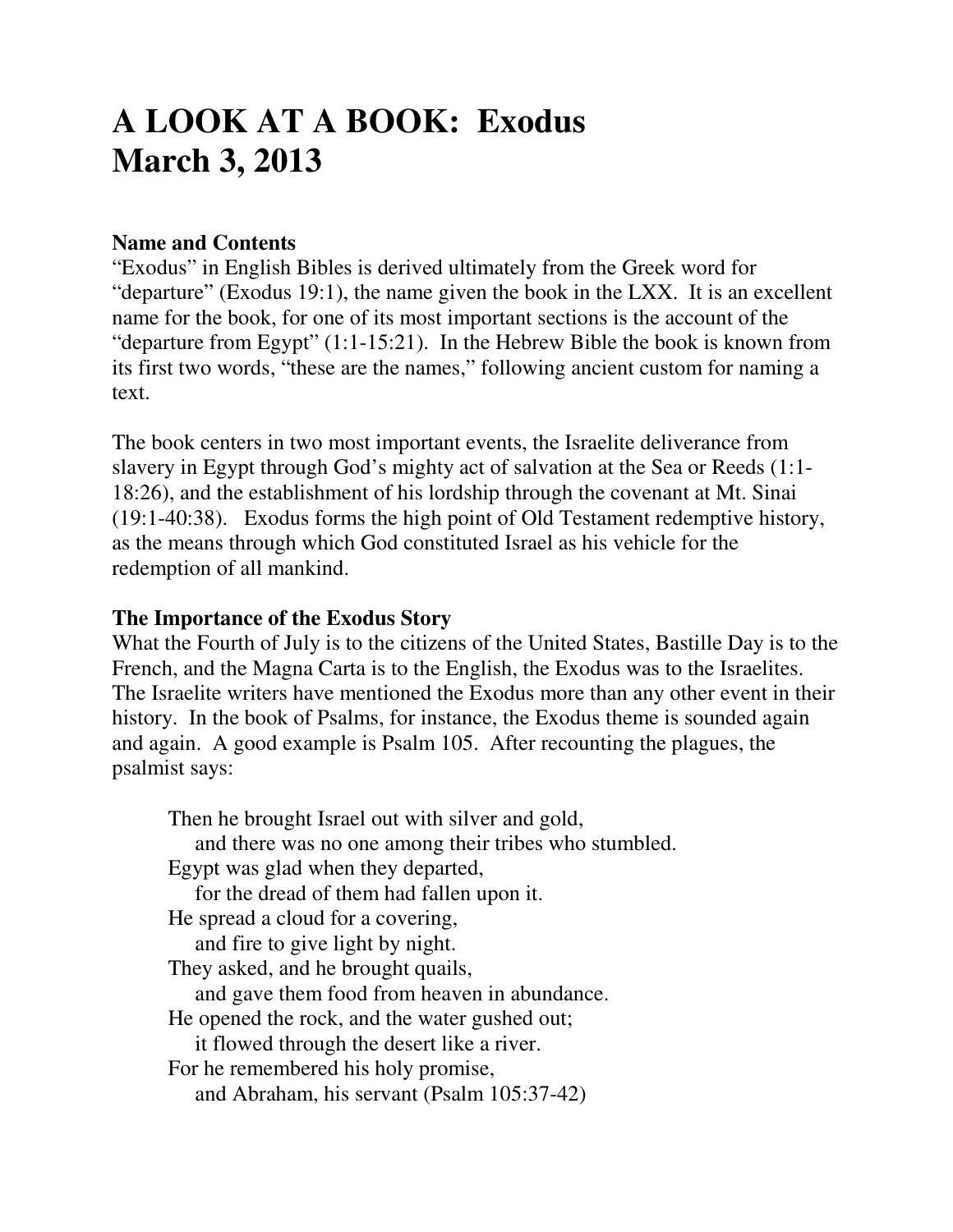# **A LOOK AT A BOOK: Exodus March 3, 2013**

#### **Name and Contents**

"Exodus" in English Bibles is derived ultimately from the Greek word for "departure" (Exodus 19:1), the name given the book in the LXX. It is an excellent name for the book, for one of its most important sections is the account of the "departure from Egypt" (1:1-15:21). In the Hebrew Bible the book is known from its first two words, "these are the names," following ancient custom for naming a text.

The book centers in two most important events, the Israelite deliverance from slavery in Egypt through God's mighty act of salvation at the Sea or Reeds (1:1- 18:26), and the establishment of his lordship through the covenant at Mt. Sinai (19:1-40:38). Exodus forms the high point of Old Testament redemptive history, as the means through which God constituted Israel as his vehicle for the redemption of all mankind.

#### **The Importance of the Exodus Story**

What the Fourth of July is to the citizens of the United States, Bastille Day is to the French, and the Magna Carta is to the English, the Exodus was to the Israelites. The Israelite writers have mentioned the Exodus more than any other event in their history. In the book of Psalms, for instance, the Exodus theme is sounded again and again. A good example is Psalm 105. After recounting the plagues, the psalmist says:

 Then he brought Israel out with silver and gold, and there was no one among their tribes who stumbled. Egypt was glad when they departed, for the dread of them had fallen upon it. He spread a cloud for a covering, and fire to give light by night. They asked, and he brought quails, and gave them food from heaven in abundance. He opened the rock, and the water gushed out; it flowed through the desert like a river. For he remembered his holy promise, and Abraham, his servant (Psalm 105:37-42)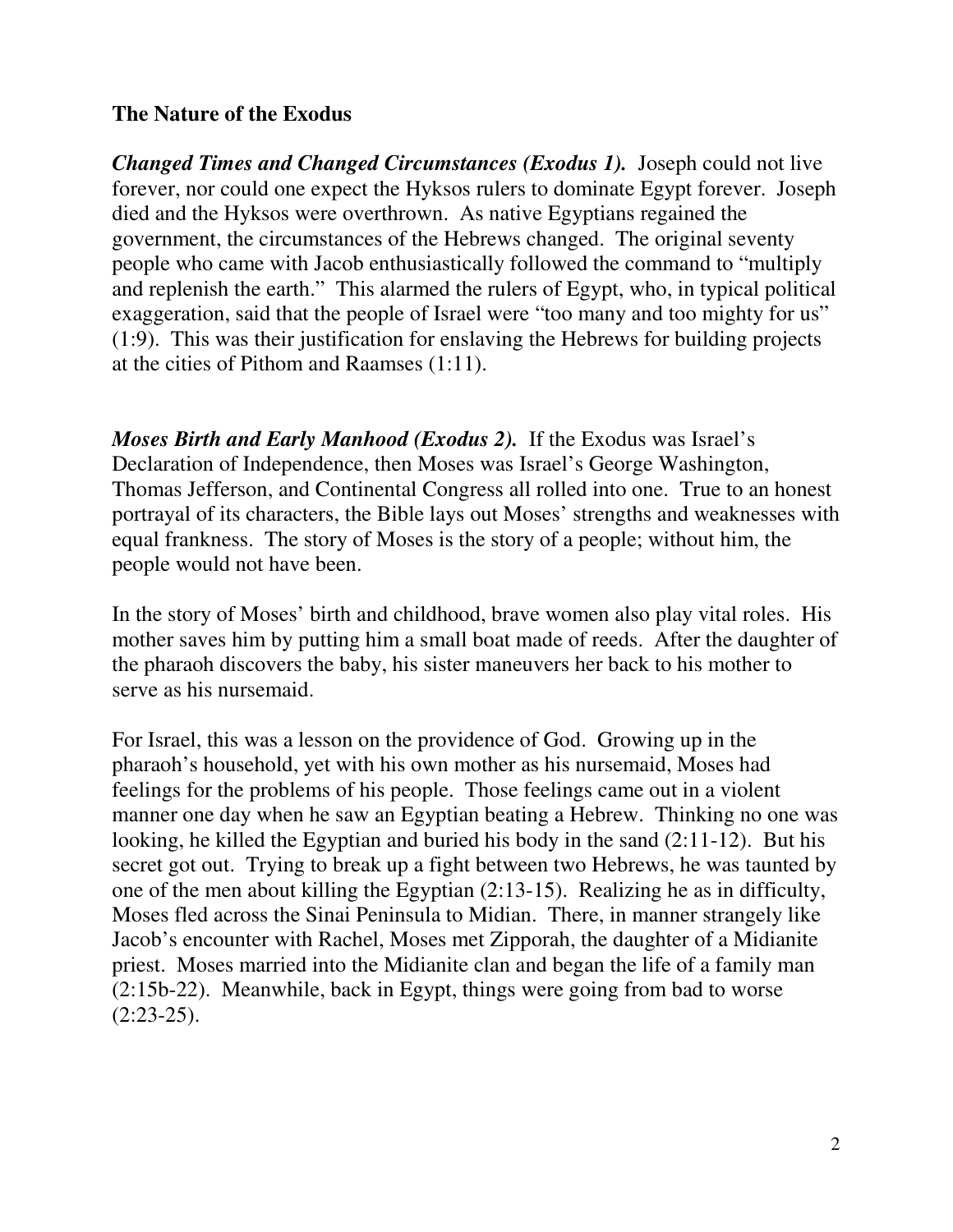#### **The Nature of the Exodus**

*Changed Times and Changed Circumstances (Exodus 1).*Joseph could not live forever, nor could one expect the Hyksos rulers to dominate Egypt forever. Joseph died and the Hyksos were overthrown. As native Egyptians regained the government, the circumstances of the Hebrews changed. The original seventy people who came with Jacob enthusiastically followed the command to "multiply and replenish the earth." This alarmed the rulers of Egypt, who, in typical political exaggeration, said that the people of Israel were "too many and too mighty for us" (1:9). This was their justification for enslaving the Hebrews for building projects at the cities of Pithom and Raamses (1:11).

*Moses Birth and Early Manhood (Exodus 2).* If the Exodus was Israel's Declaration of Independence, then Moses was Israel's George Washington, Thomas Jefferson, and Continental Congress all rolled into one. True to an honest portrayal of its characters, the Bible lays out Moses' strengths and weaknesses with equal frankness. The story of Moses is the story of a people; without him, the people would not have been.

In the story of Moses' birth and childhood, brave women also play vital roles. His mother saves him by putting him a small boat made of reeds. After the daughter of the pharaoh discovers the baby, his sister maneuvers her back to his mother to serve as his nursemaid.

For Israel, this was a lesson on the providence of God. Growing up in the pharaoh's household, yet with his own mother as his nursemaid, Moses had feelings for the problems of his people. Those feelings came out in a violent manner one day when he saw an Egyptian beating a Hebrew. Thinking no one was looking, he killed the Egyptian and buried his body in the sand (2:11-12). But his secret got out. Trying to break up a fight between two Hebrews, he was taunted by one of the men about killing the Egyptian (2:13-15). Realizing he as in difficulty, Moses fled across the Sinai Peninsula to Midian. There, in manner strangely like Jacob's encounter with Rachel, Moses met Zipporah, the daughter of a Midianite priest. Moses married into the Midianite clan and began the life of a family man (2:15b-22). Meanwhile, back in Egypt, things were going from bad to worse  $(2:23-25).$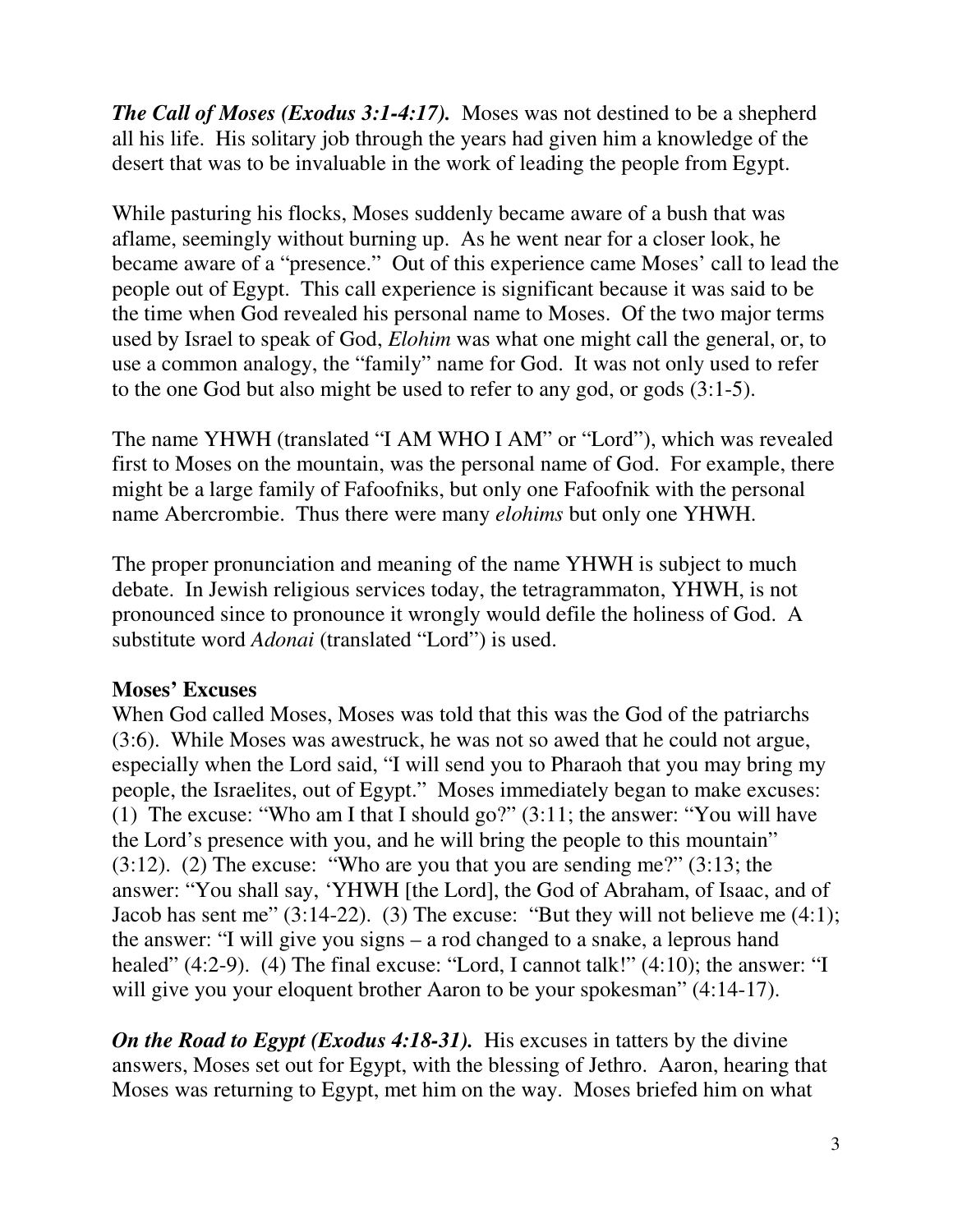*The Call of Moses (Exodus 3:1-4:17).* Moses was not destined to be a shepherd all his life. His solitary job through the years had given him a knowledge of the desert that was to be invaluable in the work of leading the people from Egypt.

While pasturing his flocks, Moses suddenly became aware of a bush that was aflame, seemingly without burning up. As he went near for a closer look, he became aware of a "presence." Out of this experience came Moses' call to lead the people out of Egypt. This call experience is significant because it was said to be the time when God revealed his personal name to Moses. Of the two major terms used by Israel to speak of God, *Elohim* was what one might call the general, or, to use a common analogy, the "family" name for God. It was not only used to refer to the one God but also might be used to refer to any god, or gods (3:1-5).

The name YHWH (translated "I AM WHO I AM" or "Lord"), which was revealed first to Moses on the mountain, was the personal name of God. For example, there might be a large family of Fafoofniks, but only one Fafoofnik with the personal name Abercrombie. Thus there were many *elohims* but only one YHWH.

The proper pronunciation and meaning of the name YHWH is subject to much debate. In Jewish religious services today, the tetragrammaton, YHWH, is not pronounced since to pronounce it wrongly would defile the holiness of God. A substitute word *Adonai* (translated "Lord") is used.

## **Moses' Excuses**

When God called Moses, Moses was told that this was the God of the patriarchs (3:6). While Moses was awestruck, he was not so awed that he could not argue, especially when the Lord said, "I will send you to Pharaoh that you may bring my people, the Israelites, out of Egypt." Moses immediately began to make excuses: (1) The excuse: "Who am I that I should go?" (3:11; the answer: "You will have the Lord's presence with you, and he will bring the people to this mountain" (3:12). (2) The excuse: "Who are you that you are sending me?" (3:13; the answer: "You shall say, 'YHWH [the Lord], the God of Abraham, of Isaac, and of Jacob has sent me" (3:14-22). (3) The excuse: "But they will not believe me (4:1); the answer: "I will give you signs – a rod changed to a snake, a leprous hand healed" (4:2-9). (4) The final excuse: "Lord, I cannot talk!" (4:10); the answer: "I will give you your eloquent brother Aaron to be your spokesman"  $(4:14-17)$ .

*On the Road to Egypt (Exodus 4:18-31).* His excuses in tatters by the divine answers, Moses set out for Egypt, with the blessing of Jethro. Aaron, hearing that Moses was returning to Egypt, met him on the way. Moses briefed him on what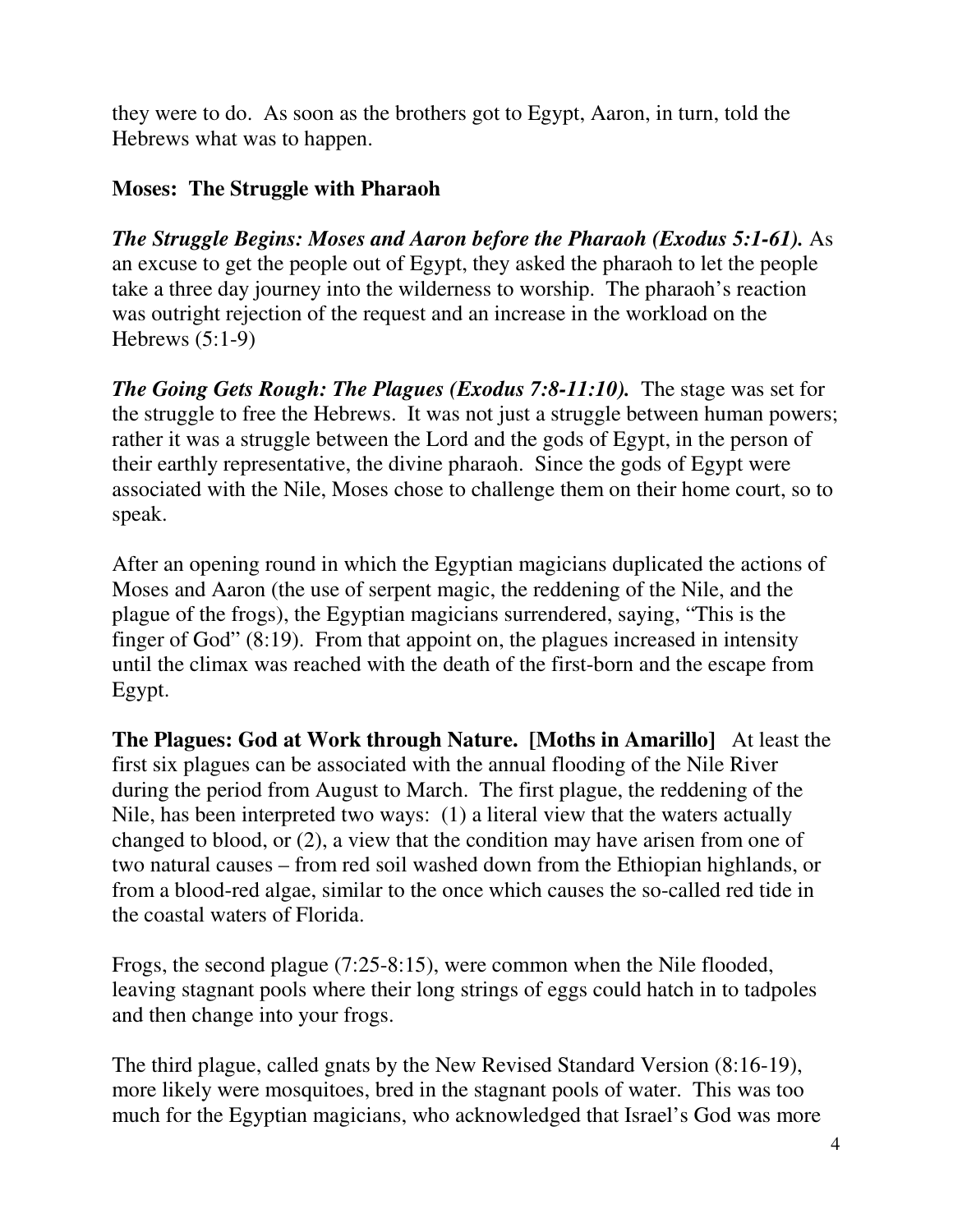they were to do. As soon as the brothers got to Egypt, Aaron, in turn, told the Hebrews what was to happen.

## **Moses: The Struggle with Pharaoh**

*The Struggle Begins: Moses and Aaron before the Pharaoh (Exodus 5:1-61).* As an excuse to get the people out of Egypt, they asked the pharaoh to let the people take a three day journey into the wilderness to worship. The pharaoh's reaction was outright rejection of the request and an increase in the workload on the Hebrews (5:1-9)

*The Going Gets Rough: The Plagues (Exodus 7:8-11:10).* The stage was set for the struggle to free the Hebrews. It was not just a struggle between human powers; rather it was a struggle between the Lord and the gods of Egypt, in the person of their earthly representative, the divine pharaoh. Since the gods of Egypt were associated with the Nile, Moses chose to challenge them on their home court, so to speak.

After an opening round in which the Egyptian magicians duplicated the actions of Moses and Aaron (the use of serpent magic, the reddening of the Nile, and the plague of the frogs), the Egyptian magicians surrendered, saying, "This is the finger of God" (8:19). From that appoint on, the plagues increased in intensity until the climax was reached with the death of the first-born and the escape from Egypt.

**The Plagues: God at Work through Nature. [Moths in Amarillo]** At least the first six plagues can be associated with the annual flooding of the Nile River during the period from August to March. The first plague, the reddening of the Nile, has been interpreted two ways: (1) a literal view that the waters actually changed to blood, or (2), a view that the condition may have arisen from one of two natural causes – from red soil washed down from the Ethiopian highlands, or from a blood-red algae, similar to the once which causes the so-called red tide in the coastal waters of Florida.

Frogs, the second plague (7:25-8:15), were common when the Nile flooded, leaving stagnant pools where their long strings of eggs could hatch in to tadpoles and then change into your frogs.

The third plague, called gnats by the New Revised Standard Version (8:16-19), more likely were mosquitoes, bred in the stagnant pools of water. This was too much for the Egyptian magicians, who acknowledged that Israel's God was more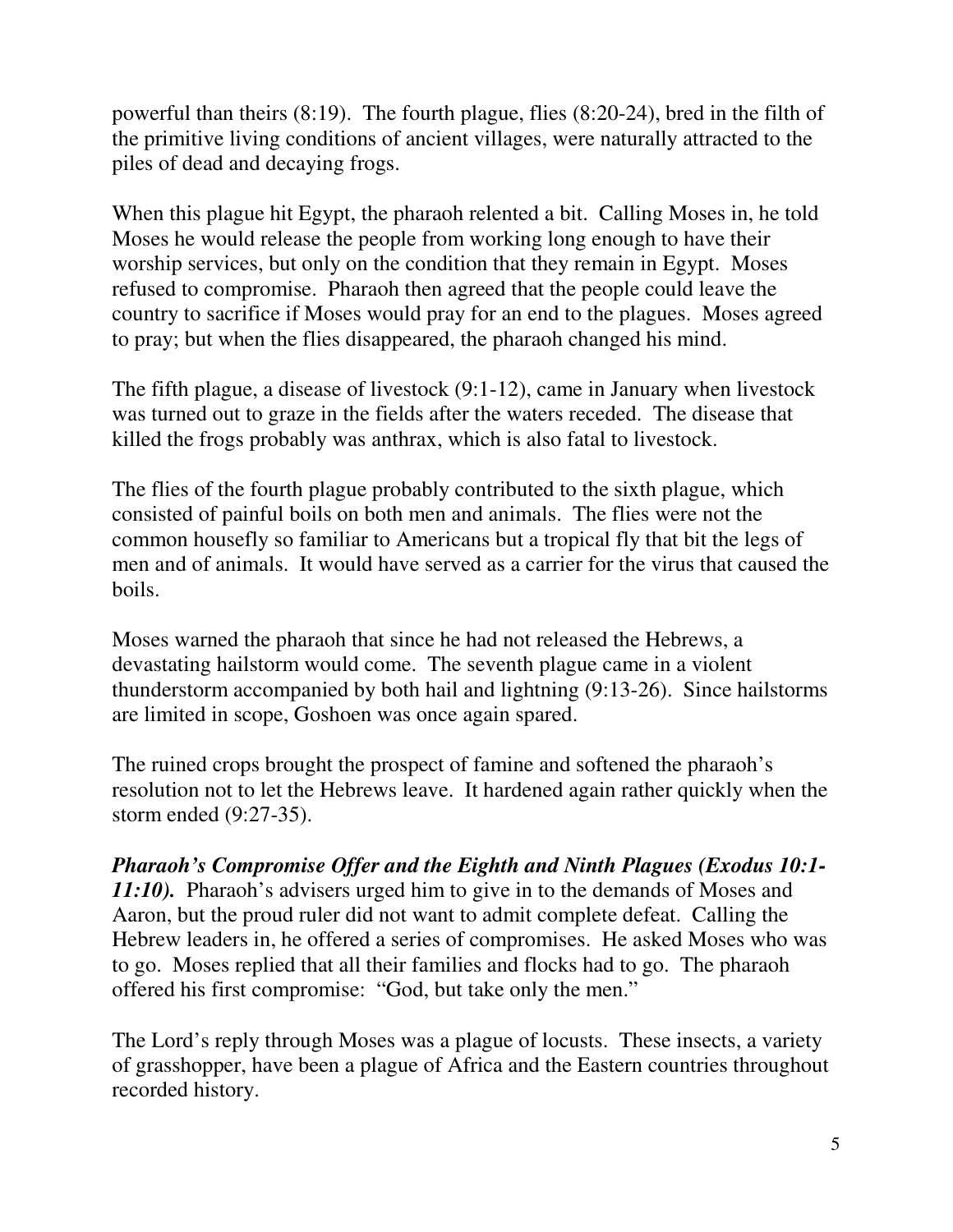powerful than theirs (8:19). The fourth plague, flies (8:20-24), bred in the filth of the primitive living conditions of ancient villages, were naturally attracted to the piles of dead and decaying frogs.

When this plague hit Egypt, the pharaoh relented a bit. Calling Moses in, he told Moses he would release the people from working long enough to have their worship services, but only on the condition that they remain in Egypt. Moses refused to compromise. Pharaoh then agreed that the people could leave the country to sacrifice if Moses would pray for an end to the plagues. Moses agreed to pray; but when the flies disappeared, the pharaoh changed his mind.

The fifth plague, a disease of livestock (9:1-12), came in January when livestock was turned out to graze in the fields after the waters receded. The disease that killed the frogs probably was anthrax, which is also fatal to livestock.

The flies of the fourth plague probably contributed to the sixth plague, which consisted of painful boils on both men and animals. The flies were not the common housefly so familiar to Americans but a tropical fly that bit the legs of men and of animals. It would have served as a carrier for the virus that caused the boils.

Moses warned the pharaoh that since he had not released the Hebrews, a devastating hailstorm would come. The seventh plague came in a violent thunderstorm accompanied by both hail and lightning (9:13-26). Since hailstorms are limited in scope, Goshoen was once again spared.

The ruined crops brought the prospect of famine and softened the pharaoh's resolution not to let the Hebrews leave. It hardened again rather quickly when the storm ended (9:27-35).

*Pharaoh's Compromise Offer and the Eighth and Ninth Plagues (Exodus 10:1- 11:10).* Pharaoh's advisers urged him to give in to the demands of Moses and Aaron, but the proud ruler did not want to admit complete defeat. Calling the Hebrew leaders in, he offered a series of compromises. He asked Moses who was to go. Moses replied that all their families and flocks had to go. The pharaoh offered his first compromise: "God, but take only the men."

The Lord's reply through Moses was a plague of locusts. These insects, a variety of grasshopper, have been a plague of Africa and the Eastern countries throughout recorded history.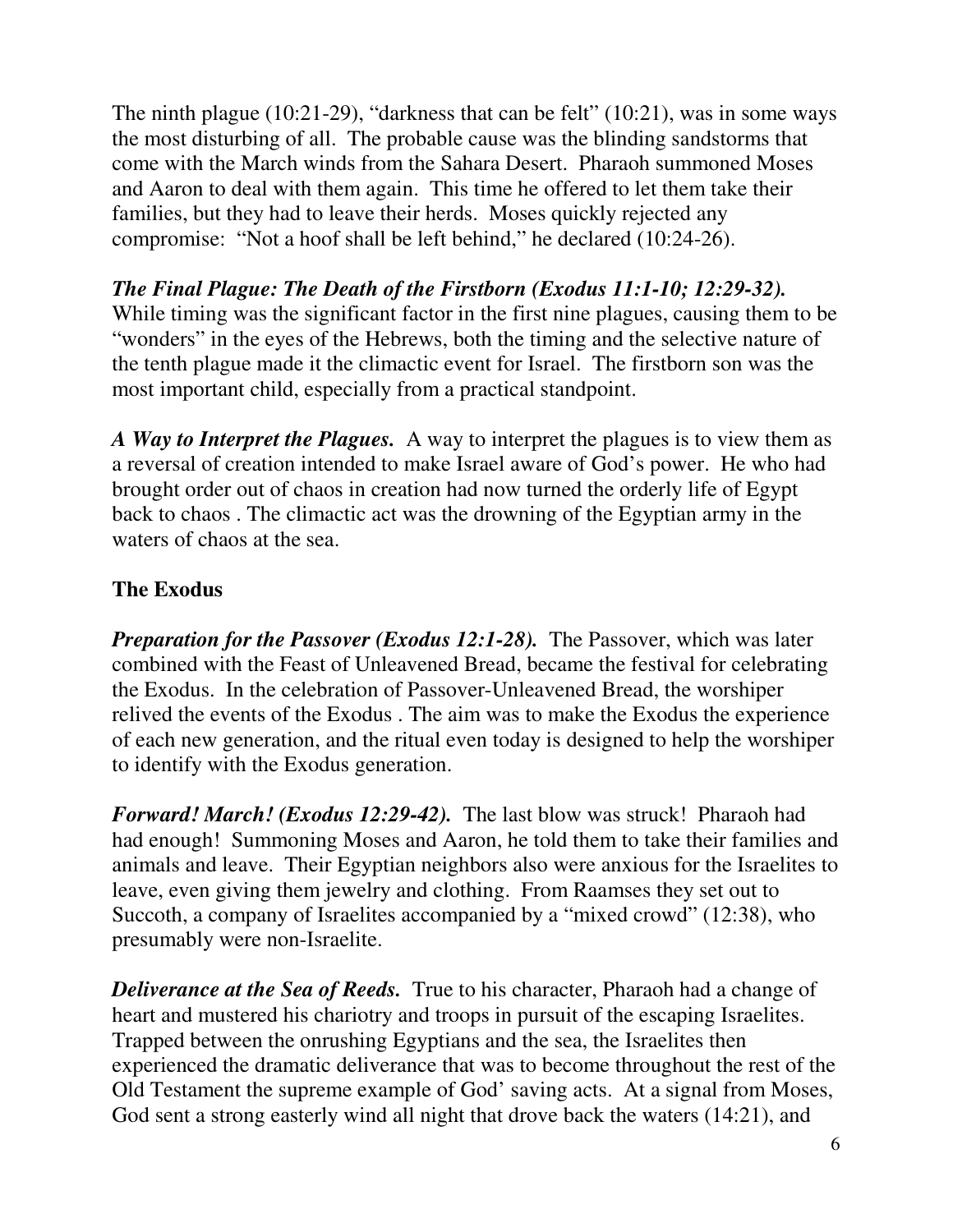The ninth plague (10:21-29), "darkness that can be felt" (10:21), was in some ways the most disturbing of all. The probable cause was the blinding sandstorms that come with the March winds from the Sahara Desert. Pharaoh summoned Moses and Aaron to deal with them again. This time he offered to let them take their families, but they had to leave their herds. Moses quickly rejected any compromise: "Not a hoof shall be left behind," he declared (10:24-26).

*The Final Plague: The Death of the Firstborn (Exodus 11:1-10; 12:29-32).* While timing was the significant factor in the first nine plagues, causing them to be "wonders" in the eyes of the Hebrews, both the timing and the selective nature of the tenth plague made it the climactic event for Israel. The firstborn son was the most important child, especially from a practical standpoint.

*A Way to Interpret the Plagues.* A way to interpret the plagues is to view them as a reversal of creation intended to make Israel aware of God's power. He who had brought order out of chaos in creation had now turned the orderly life of Egypt back to chaos . The climactic act was the drowning of the Egyptian army in the waters of chaos at the sea.

## **The Exodus**

*Preparation for the Passover (Exodus 12:1-28).* The Passover, which was later combined with the Feast of Unleavened Bread, became the festival for celebrating the Exodus. In the celebration of Passover-Unleavened Bread, the worshiper relived the events of the Exodus . The aim was to make the Exodus the experience of each new generation, and the ritual even today is designed to help the worshiper to identify with the Exodus generation.

*Forward! March! (Exodus 12:29-42).* The last blow was struck! Pharaoh had had enough! Summoning Moses and Aaron, he told them to take their families and animals and leave. Their Egyptian neighbors also were anxious for the Israelites to leave, even giving them jewelry and clothing. From Raamses they set out to Succoth, a company of Israelites accompanied by a "mixed crowd" (12:38), who presumably were non-Israelite.

*Deliverance at the Sea of Reeds.* True to his character, Pharaoh had a change of heart and mustered his chariotry and troops in pursuit of the escaping Israelites. Trapped between the onrushing Egyptians and the sea, the Israelites then experienced the dramatic deliverance that was to become throughout the rest of the Old Testament the supreme example of God' saving acts. At a signal from Moses, God sent a strong easterly wind all night that drove back the waters (14:21), and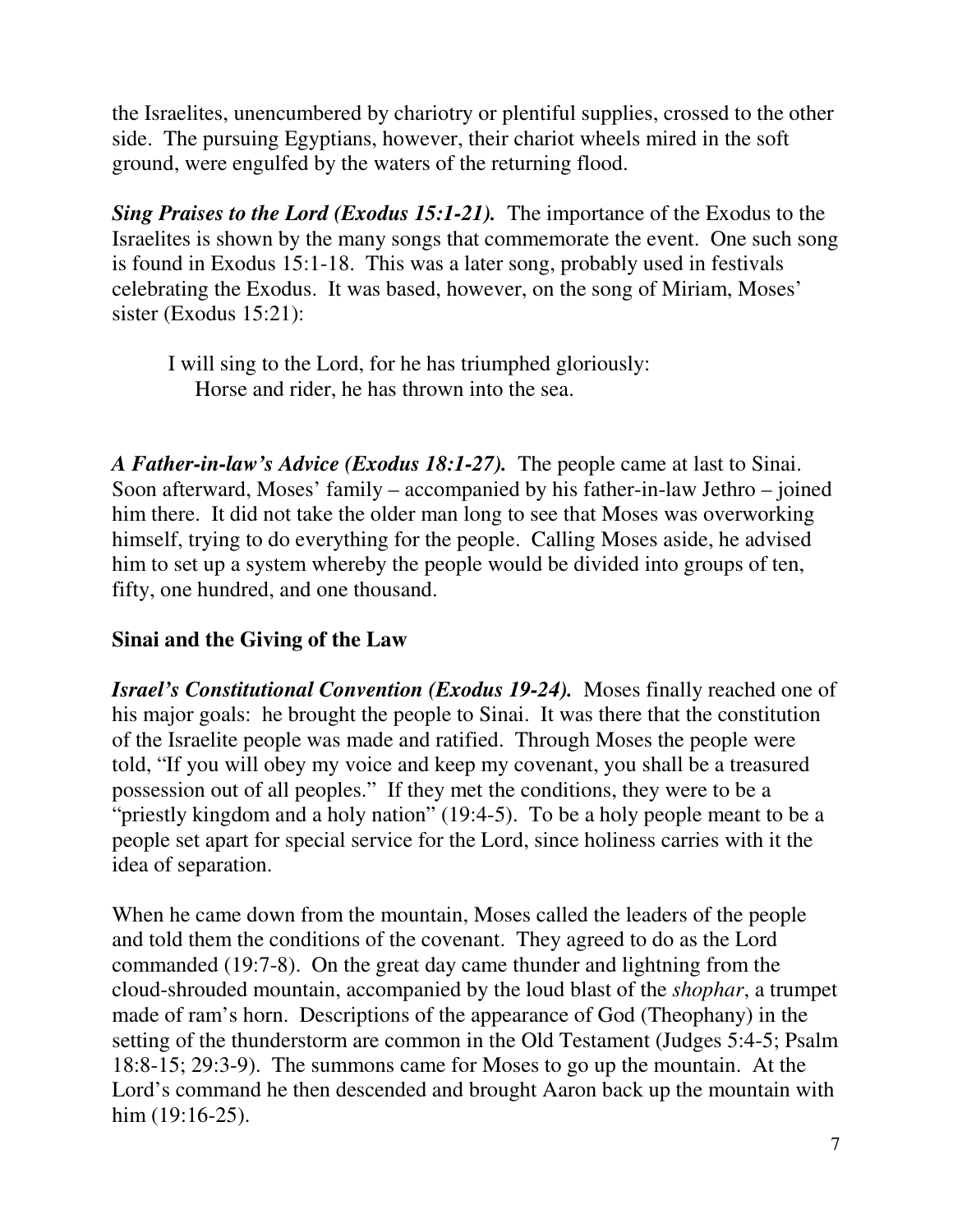the Israelites, unencumbered by chariotry or plentiful supplies, crossed to the other side. The pursuing Egyptians, however, their chariot wheels mired in the soft ground, were engulfed by the waters of the returning flood.

*Sing Praises to the Lord (Exodus 15:1-21).* The importance of the Exodus to the Israelites is shown by the many songs that commemorate the event. One such song is found in Exodus 15:1-18. This was a later song, probably used in festivals celebrating the Exodus. It was based, however, on the song of Miriam, Moses' sister (Exodus 15:21):

 I will sing to the Lord, for he has triumphed gloriously: Horse and rider, he has thrown into the sea.

*A Father-in-law's Advice (Exodus 18:1-27).* The people came at last to Sinai. Soon afterward, Moses' family – accompanied by his father-in-law Jethro – joined him there. It did not take the older man long to see that Moses was overworking himself, trying to do everything for the people. Calling Moses aside, he advised him to set up a system whereby the people would be divided into groups of ten, fifty, one hundred, and one thousand.

# **Sinai and the Giving of the Law**

*Israel's Constitutional Convention (Exodus 19-24).* Moses finally reached one of his major goals: he brought the people to Sinai. It was there that the constitution of the Israelite people was made and ratified. Through Moses the people were told, "If you will obey my voice and keep my covenant, you shall be a treasured possession out of all peoples." If they met the conditions, they were to be a "priestly kingdom and a holy nation" (19:4-5). To be a holy people meant to be a people set apart for special service for the Lord, since holiness carries with it the idea of separation.

When he came down from the mountain, Moses called the leaders of the people and told them the conditions of the covenant. They agreed to do as the Lord commanded (19:7-8). On the great day came thunder and lightning from the cloud-shrouded mountain, accompanied by the loud blast of the *shophar*, a trumpet made of ram's horn. Descriptions of the appearance of God (Theophany) in the setting of the thunderstorm are common in the Old Testament (Judges 5:4-5; Psalm 18:8-15; 29:3-9). The summons came for Moses to go up the mountain. At the Lord's command he then descended and brought Aaron back up the mountain with him (19:16-25).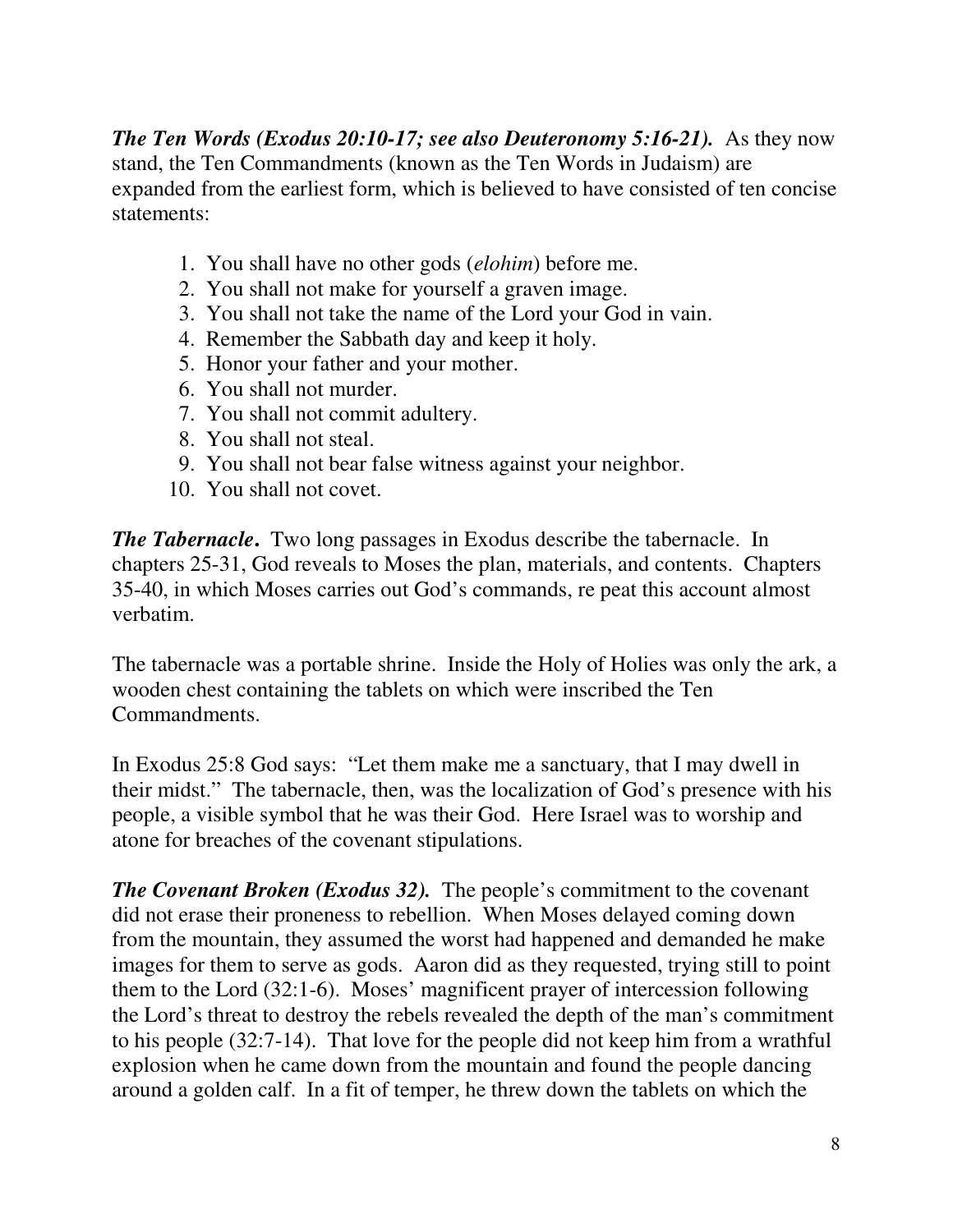*The Ten Words (Exodus 20:10-17; see also Deuteronomy 5:16-21).* As they now stand, the Ten Commandments (known as the Ten Words in Judaism) are expanded from the earliest form, which is believed to have consisted of ten concise statements:

- 1. You shall have no other gods (*elohim*) before me.
- 2. You shall not make for yourself a graven image.
- 3. You shall not take the name of the Lord your God in vain.
- 4. Remember the Sabbath day and keep it holy.
- 5. Honor your father and your mother.
- 6. You shall not murder.
- 7. You shall not commit adultery.
- 8. You shall not steal.
- 9. You shall not bear false witness against your neighbor.
- 10. You shall not covet.

*The Tabernacle*. Two long passages in Exodus describe the tabernacle. In chapters 25-31, God reveals to Moses the plan, materials, and contents. Chapters 35-40, in which Moses carries out God's commands, re peat this account almost verbatim.

The tabernacle was a portable shrine. Inside the Holy of Holies was only the ark, a wooden chest containing the tablets on which were inscribed the Ten Commandments.

In Exodus 25:8 God says: "Let them make me a sanctuary, that I may dwell in their midst." The tabernacle, then, was the localization of God's presence with his people, a visible symbol that he was their God. Here Israel was to worship and atone for breaches of the covenant stipulations.

*The Covenant Broken (Exodus 32).* The people's commitment to the covenant did not erase their proneness to rebellion. When Moses delayed coming down from the mountain, they assumed the worst had happened and demanded he make images for them to serve as gods. Aaron did as they requested, trying still to point them to the Lord (32:1-6). Moses' magnificent prayer of intercession following the Lord's threat to destroy the rebels revealed the depth of the man's commitment to his people (32:7-14). That love for the people did not keep him from a wrathful explosion when he came down from the mountain and found the people dancing around a golden calf. In a fit of temper, he threw down the tablets on which the